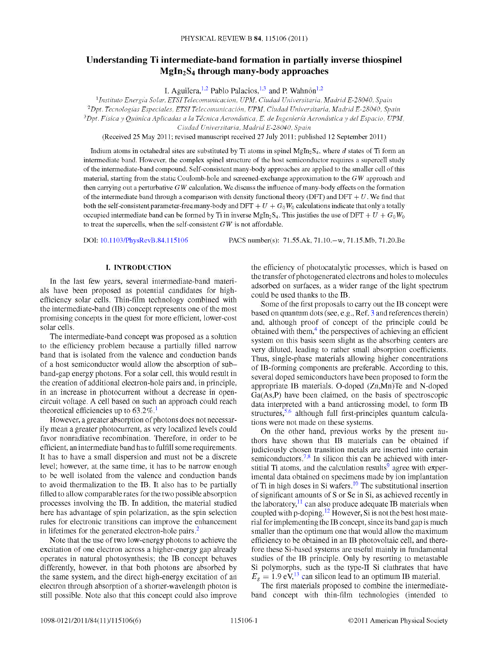# <span id="page-0-0"></span>**Understanding Ti intermediate-band formation in partially inverse thiospinel MgIn2S4 through many-body approaches**

I. Aguilera,  $^{1,2}$  $^{1,2}$  $^{1,2}$  Pablo Palacios,  $^{1,3}$  and P. Wahnon<sup>1,2</sup>

 *Instituto Energia Solar, ETSI Telecomunicacion, UPM, Ciudad Universitaria, Madrid E-28040, Spain Dpt. Tecnologias Especiales, ETSI Telecomunicacion, UPM, Ciudad Universitaria, Madrid E-28040, Spain Dpt. Fisica y Quimica Aplicadas a la Tecnica Aeronautica, E. de Ingenieria Aeronautica y del Espacio, UPM, Ciudad Universitaria, Madrid E-28040, Spain* 

(Received 25 May 2011; revised manuscript received 27 July 2011; published 12 September 2011)

Indium atoms in octahedral sites are substituted by Ti atoms in spinel MgIn2S4, where *d* states of Ti form an intermediate band. However, the complex spinel structure of the host semiconductor requires a supercell study of the intermediate-band compound. Self-consistent many-body approaches are applied to the smaller cell of this material, starting from the static Coulomb-hole and screened-exchange approximation to the *GW* approach and then carrying out a perturbative *GW* calculation. We discuss the influence of many-body effects on the formation of the intermediate band through a comparison with density functional theory (DFT) and DFT + *U*. We find that both the self-consistent parameter-free many-body and DFT  $+ U + G_0W_0$  calculations indicate that only a totally occupied intermediate band can be formed by Ti in inverse MgIn<sub>2</sub>S<sub>4</sub>. This justifies the use of DFT +  $U + G_0W_0$ to treat the supercells, when the self-consistent *GW* is not affordable.

DOI: 10.1103/PhysRevB.84.115106 PACS number(s): 71.55.Ak, 71.10.-w, 71.15.Mb, 71.20.Be

## **I. INTRODUCTION**

In the last few years, several intermediate-band materials have been proposed as potential candidates for highefficiency solar cells. Thin-film technology combined with the intermediate-band (IB) concept represents one of the most promising concepts in the quest for more efficient, lower-cost solar cells.

The intermediate-band concept was proposed as a solution to the efficiency problem because a partially filled narrow band that is isolated from the valence and conduction bands of a host semiconductor would allow the absorption of subband-gap energy photons. For a solar cell, this would result in the creation of additional electron-hole pairs and, in principle, in an increase in photocurrent without a decrease in opencircuit voltage. A cell based on such an approach could reach theoretical efficiencies up to  $63.2\%$ <sup>1</sup>

However, a greater absorption of photons does not necessarily mean a greater photocurrent, as very localized levels could favor nonradiative recombination. Therefore, in order to be efficient, an intermediate band has to fulfill some requirements. It has to have a small dispersion and must not be a discrete level; however, at the same time, it has to be narrow enough to be well isolated from the valence and conduction bands to avoid thermalization to the IB. It also has to be partially filled to allow comparable rates for the two possible absorption processes involving the IB. In addition, the material studied here has advantage of spin polarization, as the spin selection rules for electronic transitions can improve the enhancement in lifetimes for the generated electron-hole pairs.<sup>2</sup>

Note that the use of two low-energy photons to achieve the excitation of one electron across a higher-energy gap already operates in natural photosynthesis; the IB concept behaves differently, however, in that both photons are absorbed by the same system, and the direct high-energy excitation of an electron through absorption of a shorter-wavelength photon is still possible. Note also that this concept could also improve

the efficiency of photocatalytic processes, which is based on the transfer of photogenerated electrons and holes to molecules adsorbed on surfaces, as a wider range of the light spectrum could be used thanks to the IB.

Some of the first proposals to carry out the IB concept were based on quantum dots (see, e.g., Ref. 3 and references therein) and, although proof of concept of the principle could be obtained with them,<sup>4</sup> the perspectives of achieving an efficient system on this basis seem slight as the absorbing centers are very diluted, leading to rather small absorption coefficients. Thus, single-phase materials allowing higher concentrations of IB-forming components are preferable. According to this, several doped semiconductors have been proposed to form the appropriate IB materials. O-doped (Zn,Mn)Te and N-doped Ga(As,P) have been claimed, on the basis of spectroscopic data interpreted with a band anticrossing model, to form IB structures,<sup>5,6</sup> although full first-principles quantum calculations were not made on these systems.

On the other hand, previous works by the present authors have shown that IB materials can be obtained if judiciously chosen transition metals are inserted into certain semiconductors.<sup>7,8</sup> In silicon this can be achieved with interstitial Ti atoms, and the calculation results<sup>9</sup> agree with experimental data obtained on specimens made by ion implantation of Ti in high doses in Si wafers.<sup>10</sup> The substitutional insertion of significant amounts of S or Se in Si, as achieved recently in the laboratory,  $11$  can also produce adequate IB materials when coupled with p-doping.<sup>12</sup> However, Si is not the best host material for implementing the IB concept, since its band gap is much smaller than the optimum one that would allow the maximum efficiency to be obtained in an IB photovoltaic cell, and therefore these Si-based systems are useful mainly in fundamental studies of the IB principle. Only by resorting to metastable Si polymorphs, such as the type-II Si clathrates that have  $E_g = 1.9 \text{ eV}$ ,<sup>13</sup> can silicon lead to an optimum IB material.

The first materials proposed to combine the intermediateband concept with thin-film technologies (intended to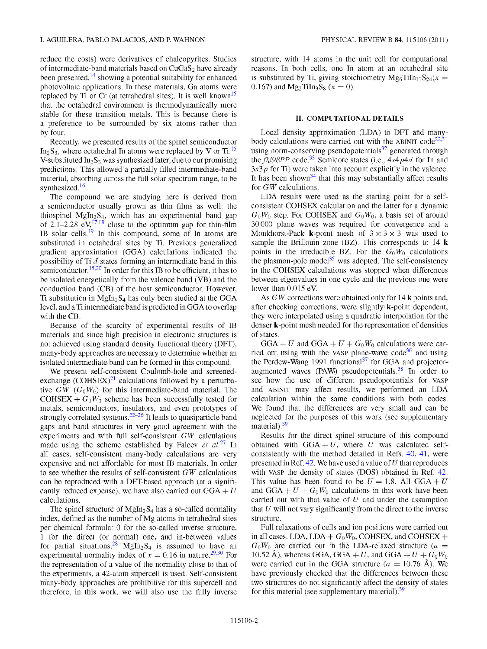reduce the costs) were derivatives of chalcopyrites. Studies of intermediate-band materials based on  $CuGaS<sub>2</sub>$  have already been presented,<sup>14</sup> showing a potential suitability for enhanced photovoltaic applications. In these materials, Ga atoms were replaced by Ti or Cr (at tetrahedral sites). It is well known<sup>15</sup> that the octahedral environment is thermodynamically more stable for these transition metals. This is because there is a preference to be surrounded by six atoms rather than by four.

Recently, we presented results of the spinel semiconductor In<sub>2</sub>S<sub>3</sub>, where octahedral In atoms were replaced by V or Ti.<sup>15</sup> V-substituted  $In_2S_3$  was synthesized later, due to our promising predictions. This allowed a partially filled intermediate-band material, absorbing across the full solar spectrum range, to be synthesized.<sup>16</sup>

The compound we are studying here is derived from a semiconductor usually grown as thin films as well: the thiospinel  $MgIn<sub>2</sub>S<sub>4</sub>$ , which has an experimental band gap of 2.1–2.28  $\text{eV}$ ,  $^{17,18}$  close to the optimum gap for thin-film IB solar cells.<sup>19</sup> In this compound, some of In atoms are substituted in octahedral sites by Ti. Previous generalized gradient approximation (GGA) calculations indicated the possibility of Ti *d* states forming an intermediate band in this semiconductor.<sup>15,20</sup> In order for this IB to be efficient, it has to be isolated energetically from the valence band (VB) and the conduction band (CB) of the host semiconductor. However, Ti substitution in  $MgIn<sub>2</sub>S<sub>4</sub>$  has only been studied at the GGA level, and a Ti intermediate band is predicted in GGA to overlap with the CB.

Because of the scarcity of experimental results of IB materials and since high precision in electronic structures is not achieved using standard density functional theory (DFT), many-body approaches are necessary to determine whether an isolated intermediate band can be formed in this compound.

We present self-consistent Coulomb-hole and screenedexchange  $(COHSEX)^{21}$  calculations followed by a perturbative  $GW$  ( $G_0W_0$ ) for this intermediate-band material. The COHSEX +  $G_0W_0$  scheme has been successfully tested for metals, semiconductors, insulators, and even prototypes of strongly correlated systems.<sup>22–26</sup> It leads to quasiparticle band gaps and band structures in very good agreement with the experiments and with full self-consistent *GW* calculations made using the scheme established by Faleev *et*  $al^{27}$  In all cases, self-consistent many-body calculations are very expensive and not affordable for most IB materials. In order to see whether the results of self-consistent *GW* calculations can be reproduced with a DFT-based approach (at a significantly reduced expense), we have also carried out  $GGA + U$ calculations.

The spinel structure of  $MgIn<sub>2</sub>S<sub>4</sub>$  has a so-called normality index, defined as the number of Mg atoms in tetrahedral sites per chemical formula: 0 for the so-called inverse structure, 1 for the direct (or normal) one, and in-between values for partial situations.<sup>28</sup>  $\overline{MgIn}_{2}S_{4}$  is assumed to have an experimental normality index of  $x = 0.16$  in nature.<sup>29,30</sup> For the representation of a value of the normality close to that of the experiments, a 42-atom supercell is used. Self-consistent many-body approaches are prohibitive for this supercell and therefore, in this work, we will also use the fully inverse

structure, with 14 atoms in the unit cell for computational reasons. In both cells, one In atom at an octahedral site is substituted by Ti, giving stoichiometry  $Mg_6TiIn_{11}S_{24}(x =$ 0.167) and  $Mg_2$ TiIn<sub>3</sub>S<sub>8</sub> ( $x = 0$ ).

### **II. COMPUTATIONAL DETAILS**

Local density approximation (LDA) to DFT and manybody calculations were carried out with the ABINIT code<sup>22,31</sup> using norm-conserving pseudopotentials $32$  generated through the *fhi98PP* code.<sup>33</sup> Semicore states (i.e., *4s4p4d* for In and *3s*3p for Ti) were taken into account explicitly in the valence. It has been shown<sup>34</sup> that this may substantially affect results for *GW* calculations.

LDA results were used as the starting point for a selfconsistent COHSEX calculation and the latter for a dynamic  $G_0W_0$  step. For COHSEX and  $G_0W_0$ , a basis set of around 30 000 plane waves was required for convergence and a Monkhorst-Pack **k**-point mesh of  $3 \times 3 \times 3$  was used to sample the Brillouin zone (BZ). This corresponds to 14 **k**  points in the irreducible BZ. For the  $G_0W_0$  calculations the plasmon-pole model<sup>35</sup> was adopted. The self-consistency in the COHSEX calculations was stopped when differences between eigenvalues in one cycle and the previous one were lower than 0.015 eV.

As *GW* corrections were obtained only for 14 **k** points and, after checking corrections, were slightly **k**-point dependent, they were interpolated using a quadratic interpolation for the denser **k**-point mesh needed for the representation of densities of states.

 $GGA + U$  and  $GGA + U + G_0W_0$  calculations were carried out using with the VASP plane-wave code<sup>36</sup> and using the Perdew-Wang 1991 functional<sup>37</sup> for GGA and projectoraugmented waves (PAW) pseudopotentials.<sup>38</sup> In order to see how the use of different pseudopotentials for VASP and ABINIT may affect results, we performed an LDA calculation within the same conditions with both codes. We found that the differences are very small and can be neglected for the purposes of this work (see supplementary material).<sup>39</sup>

Results for the direct spinel structure of this compound obtained with  $GGA + U$ , where U was calculated selfconsistently with the method detailed in Refs. 40, 41, were presented in Ref. 42. We have used a value of *U* that reproduces with VASP the density of states (DOS) obtained in Ref. 42. This value has been found to be  $U = 1.8$ . All GGA + U and  $GGA + U + G_0W_0$  calculations in this work have been carried out with that value of *U* and under the assumption that *U* will not vary significantly from the direct to the inverse structure.

Full relaxations of cells and ion positions were carried out in all cases. LDA, LDA +  $G_0W_0$ , COHSEX, and COHSEX +  $G_0W_0$  are carried out in the LDA-relaxed structure ( $a =$ 10.52 Å), whereas GGA, GGA + U, and GGA +  $U + G_0W_0$ were carried out in the GGA structure  $(a = 10.76 \text{ Å})$ . We have previously checked that the differences between these two structures do not significantly affect the density of states for this material (see supplementary material).<sup>[39](#page-5-2)</sup>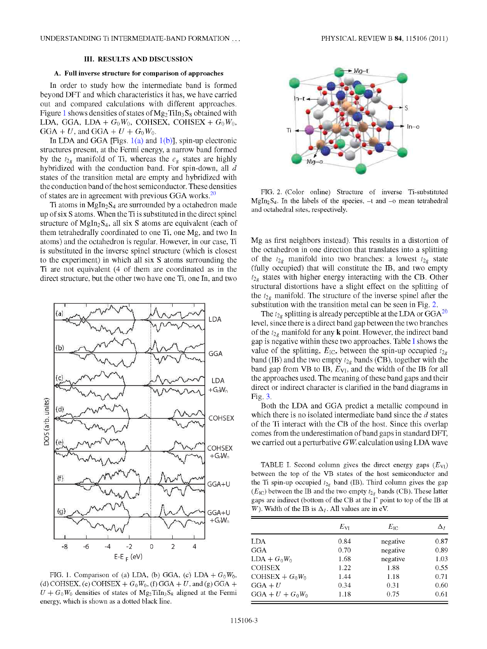## **III. RESULTS AND DISCUSSION**

#### **A. Full inverse structure for comparison of approaches**

<span id="page-2-0"></span>In order to study how the intermediate band is formed beyond DFT and which characteristics it has, we have carried out and compared calculations with different approaches. Figure 1 shows densities of states of  $Mg_2TiIn_3S_8$  obtained with LDA, GGA, LDA +  $G_0W_0$ , COHSEX, COHSEX +  $G_0W_0$ ,  $GGA + U$ , and  $GGA + U + G_0W_0$ .

In LDA and GGA [Figs.  $1(a)$  and  $1(b)$ ], spin-up electronic structures present, at the Fermi energy, a narrow band formed by the  $t_{2g}$  manifold of Ti, whereas the  $e_g$  states are highly hybridized with the conduction band. For spin-down, all *d*  states of the transition metal are empty and hybridized with the conduction band of the host semiconductor. These densities of states are in agreement with previous GGA works.<sup>[20](#page-5-3)</sup>

Ti atoms in  $MgIn<sub>2</sub>S<sub>4</sub>$  are surrounded by a octahedron made up of six S atoms. When the Ti is substituted in the direct spinel structure of  $MgIn<sub>2</sub>S<sub>4</sub>$ , all six S atoms are equivalent (each of them tetrahedrally coordinated to one Ti, one Mg, and two In atoms) and the octahedron is regular. However, in our case, Ti is substituted in the inverse spinel structure (which is closest to the experiment) in which all six S atoms surrounding the Ti are not equivalent (4 of them are coordinated as in the direct structure, but the other two have one Ti, one In, and two



FIG. 1. Comparison of (a) LDA, (b) GGA, (c) LDA +  $G_0W_0$ , (d) COHSEX, (e) COHSEX  $+ G_0W_0$ , (f) GGA  $+ U$ , and (g) GGA  $+$  $U + G_0W_0$  densities of states of Mg<sub>2</sub>TiIn<sub>3</sub>S<sub>8</sub> aligned at the Fermi energy, which is shown as a dotted black line.



FIG. 2. (Color online) Structure of inverse Ti-substituted  $MgIn<sub>2</sub>S<sub>4</sub>$ . In the labels of the species,  $-$ t and  $-$ o mean tetrahedral and octahedral sites, respectively.

Mg as first neighbors instead). This results in a distortion of the octahedron in one direction that translates into a splitting of the  $t_{2g}$  manifold into two branches: a lowest  $t_{2g}$  state (fully occupied) that will constitute the IB, and two empty  $t_{2g}$  states with higher energy interacting with the CB. Other structural distortions have a slight effect on the splitting of the *t2g* manifold. The structure of the inverse spinel after the substitution with the transition metal can be seen in Fig[. 2.](#page-2-0)

The  $t_{2g}$  splitting is already perceptible at the LDA or  $\text{GGA}^{20}$ level, since there is a direct band gap between the two branches of the *t2g* manifold for any **k** point. However, the indirect band gap is negative within these two approaches. Table I shows the value of the splitting,  $E_{\text{IC}}$ , between the spin-up occupied  $t_{2g}$ band (IB) and the two empty  $t_{2g}$  bands (CB), together with the band gap from VB to IB,  $E_{VI}$ , and the width of the IB for all the approaches used. The meaning of these band gaps and their direct or indirect character is clarified in the band diagrams in Fig[. 3.](#page-3-0)

Both the LDA and GGA predict a metallic compound in which there is no isolated intermediate band since the *d* states of the Ti interact with the CB of the host. Since this overlap comes from the underestimation of band gaps in standard DFT, we carried out a perturbative *GW* calculation using LDA wave

TABLE I. Second column gives the direct energy gaps  $(E_{VI})$ between the top of the VB states of the host semiconductor and the Ti spin-up occupied  $t_{2g}$  band (IB). Third column gives the gap  $(E_{\text{IC}})$  between the IB and the two empty  $t_{2g}$  bands (CB). These latter gaps are indirect (bottom of the CB at the  $\Gamma$  point to top of the IB at *W*). Width of the IB is  $\Delta_l$ . All values are in eV.

|                    | $E_{\rm VI}$ | $E_{\rm IC}$ | $\Delta_I$ |
|--------------------|--------------|--------------|------------|
| LDA                | 0.84         | negative     | 0.87       |
| <b>GGA</b>         | 0.70         | negative     | 0.89       |
| $LDA + G_0W_0$     | 1.68         | negative     | 1.03       |
| <b>COHSEX</b>      | 1.22         | 1.88         | 0.55       |
| COHSEX + $G_0W_0$  | 1.44         | 1.18         | 0.71       |
| $GGA + U$          | 0.34         | 0.31         | 0.60       |
| $GGA + U + G_0W_0$ | 1.18         | 0.75         | 0.61       |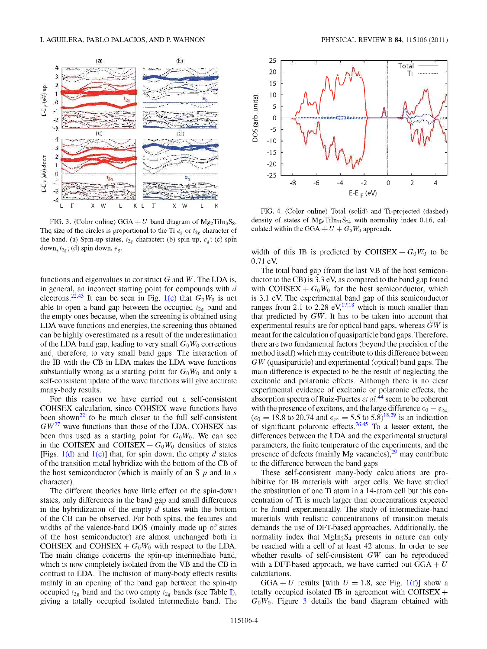<span id="page-3-0"></span>

FIG. 3. (Color online) GGA + *U* band diagram of  $Mg_2$ TiIn<sub>3</sub>S<sub>8</sub>. The size of the circles is proportional to the Ti  $e_g$  or  $t_{2g}$  character of the band. (a) Spin-up states, *t2g* character; (b) spin up, *eg*; (c) spin down, *t2g*; (d) spin down, *eg*.

functions and eigenvalues to construct *G* and *W*. The LDA is, in general, an incorrect starting point for compounds with *d*  electrons.<sup>22,43</sup> It can be seen in Fig. 1(c) that  $G_0 W_0$  is not able to open a band gap between the occupied  $t_{2g}$  band and the empty ones because, when the screening is obtained using LDA wave functions and energies, the screening thus obtained can be highly overestimated as a result of the underestimation of the LDA band gap, leading to very small  $G_0 W_0$  corrections and, therefore, to very small band gaps. The interaction of the IB with the CB in LDA makes the LDA wave functions substantially wrong as a starting point for  $G_0W_0$  and only a self-consistent update of the wave functions will give accurate many-body results.

For this reason we have carried out a self-consistent COHSEX calculation, since COHSEX wave functions have been shown<sup>22</sup> to be much closer to the full self-consistent *GW*<sup>27</sup> wave functions than those of the LDA. COHSEX has been thus used as a starting point for  $G_0W_0$ . We can see in the COHSEX and COHSEX +  $G_0W_0$  densities of states [Figs. 1(d) and 1(e)] that, for spin down, the empty *d* states of the transition metal hybridize with the bottom of the CB of the host semiconductor (which is mainly of an S *p* and In s character).

The different theories have little effect on the spin-down states, only differences in the band gap and small differences in the hybridization of the empty *d* states with the bottom of the CB can be observed. For both spins, the features and widths of the valence-band DOS (mainly made up of states of the host semiconductor) are almost unchanged both in COHSEX and COHSEX +  $G_0W_0$  with respect to the LDA. The main change concerns the spin-up intermediate band, which is now completely isolated from the VB and the CB in contrast to LDA. The inclusion of many-body effects results mainly in an opening of the band gap between the spin-up occupied  $t_{2g}$  band and the two empty  $t_{2g}$  bands (see Table I), giving a totally occupied isolated intermediate band. The



FIG. 4. (Color online) Total (solid) and Ti-projected (dashed) density of states of  $Mg_6Tilm_{11}S_{24}$  with normality index 0.16, calculated within the GGA  $+ U + G_0W_0$  approach.

width of this IB is predicted by COHSEX +  $G_0W_0$  to be 0.71 eV.

The total band gap (from the last VB of the host semiconductor to the CB) is 3.3 eV, as compared to the band gap found with COHSEX +  $G_0W_0$  for the host semiconductor, which is 3.1 eV. The experimental band gap of this semiconductor ranges from 2.1 to 2.28  $\text{eV}^{17,18}$  which is much smaller than that predicted by *GW*. It has to be taken into account that experimental results are for optical band gaps, whereas *GW* is meant for the calculation of quasiparticle band gaps. Therefore, there are two fundamental factors (beyond the precision of the method itself) which may contribute to this difference between *GW* (quasiparticle) and experimental (optical) band gaps. The main difference is expected to be the result of neglecting the excitonic and polaronic effects. Although there is no clear experimental evidence of excitonic or polaronic effects, the absorption spectra of Ruiz-Fuertes *et al.<sup>44</sup>* seem to be coherent with the presence of excitons, and the large difference  $\epsilon_0 - \epsilon_\infty$  $(6.6 \pm 18.8 \text{ to } 20.74 \text{ and } 6.5 \pm 5.5 \text{ to } 5.8)$ <sup>18,29</sup> is an indication of significant polaronic effects  $26,45$  To a lesser extent, the differences between the LDA and the experimental structural parameters, the finite temperature of the experiments, and the presence of defects (mainly Mo vacancies), <sup>29</sup> may contribute to the difference between the band gaps.

These self-consistent many-body calculations are prohibitive for IB materials with larger cells. We have studied the substitution of one Ti atom in a 14-atom cell but this concentration of Ti is much larger than concentrations expected to be found experimentally. The study of intermediate-band materials with realistic concentrations of transition metals demands the use of DFT-based approaches. Additionally, the normality index that  $MgIn<sub>2</sub>S<sub>4</sub>$  presents in nature can only be reached with a cell of at least 42 atoms. In order to see whether results of self-consistent *GW* can be reproduced with a DFT-based approach, we have carried out  $GGA + U$ calculations.

GGA + *U* results [with  $U = 1.8$ , see Fig. 1(f)] show a totally occupied isolated IB in agreement with COHSEX +  $G_0W_0$ . Figure 3 details the band diagram obtained with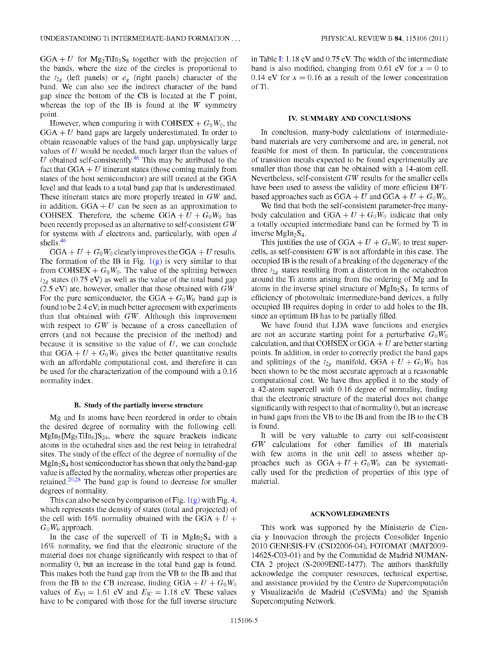$GGA + U$  for  $Mg_2TiIn_3S_8$  together with the projection of the bands, where the size of the circles is proportional to the  $t_{2g}$  (left panels) or  $e_g$  (right panels) character of the band. We can also see the indirect character of the band gap since the bottom of the CB is located at the *T* point, whereas the top of the IB is found at the *W* symmetry point.

However, when comparing it with COHSEX +  $G_0W_0$ , the  $GGA + U$  band gaps are largely underestimated. In order to obtain reasonable values of the band gap, unphysically large values of *U* would be needed, much larger than the values of U obtained self-consistently.<sup>46</sup> This may be attributed to the fact that  $GGA + U$  itinerant states (those coming mainly from states of the host semiconductor) are still treated at the GGA level and that leads to a total band gap that is underestimated. These itinerant states are more properly treated in *GW* and, in addition,  $GGA + U$  can be seen as an approximation to COHSEX. Therefore, the scheme  $GGA + U + G_0W_0$  has been recently proposed as an alternative to self-consistent *GW*  for systems with *d* electrons and, particularly, with open *d*  shells.<sup>46</sup>

 $GGA + U + G_0W_0$  clearly improves the  $GGA + U$  results. The formation of the IB in Fig.  $1(g)$  is very similar to that from COHSEX +  $G_0W_0$ . The value of the splitting between  $t_{2g}$  states (0.75 eV) as well as the value of the total band gap (2.5 eV) are, however, smaller that those obtained with *GW.*  For the pure semiconductor, the GGA +  $G_0W_0$  band gap is found to be 2.4 eV; in much better agreement with experiments than that obtained with *GW.* Although this improvement with respect to *GW* is because of a cross cancellation of errors (and not because the precision of the method) and because it is sensitive to the value of *U*, we can conclude that  $GGA + U + G_0W_0$  gives the better quantitative results with an affordable computational cost, and therefore it can be used for the characterization of the compound with a 0.16 normality index.

## **B. Study of the partially inverse structure**

Mg and In atoms have been reordered in order to obtain the desired degree of normality with the following cell:  $MgIn<sub>5</sub>[Mg<sub>5</sub>TiIn<sub>6</sub>]S<sub>24</sub>$ , where the square brackets indicate atoms in the octahedral sites and the rest being in tetrahedral sites. The study of the effect of the degree of normality of the  $MgIn<sub>2</sub>S<sub>4</sub>$  host semiconductor has shown that only the band-gap value is affected by the normality, whereas other properties are retained.<sup>20,28</sup> The band gap is found to decrease for smaller degrees of normality.

This can also be seen by comparison of Fig.  $1(g)$  with Fig. 4, which represents the density of states (total and projected) of the cell with 16% normality obtained with the GGA +  $U$  +  $G_0W_0$  approach.

In the case of the supercell of  $Ti$  in  $MgIn_2S_4$  with a 16% normality, we find that the electronic structure of the material does not change significantly with respect to that of normality 0, but an increase in the total band gap is found. This makes both the band gap from the VB to the IB and that from the IB to the CB increase, finding  $GGA + U + G_0W_0$ values of  $E_{\text{VI}} = 1.61$  eV and  $E_{\text{IC}} = 1.18$  eV. These values have to be compared with those for the full inverse structure

in Table I: 1.18 eV and 0.75 eV. The width of the intermediate band is also modified, changing from 0.61 eV for  $x = 0$  to 0.14 eV for  $x = 0.16$  as a result of the lower concentration of Ti.

## **IV. SUMMARY AND CONCLUSIONS**

In conclusion, many-body calculations of intermediateband materials are very cumbersome and are, in general, not feasible for most of them. In particular, the concentrations of transition metals expected to be found experimentally are smaller than those that can be obtained with a 14-atom cell. Nevertheless, self-consistent *GW* results for the smaller cells have been used to assess the validity of more efficient DFTbased approaches such as  $GGA + U$  and  $GGA + U + G_0 W_0$ .

We find that both the self-consistent parameter-free manybody calculation and  $GGA + U + G_0W_0$  indicate that only a totally occupied intermediate band can be formed by Ti in inverse MgIn<sub>2</sub>S<sub>4</sub>.

This justifies the use of GGA +  $U + G_0W_0$  to treat supercells, as self-consistent *GW* is not affordable in this case. The occupied IB is the result of a breaking of the degeneracy of the three  $t_{2g}$  states resulting from a distortion in the octahedron around the Ti atoms arising from the ordering of Mg and In atoms in the inverse spinel structure of  $MgIn_2S_4$ . In terms of efficiency of photovoltaic intermediate-band devices, a fully occupied IB requires doping in order to add holes to the IB, since an optimum IB has to be partially filled.

We have found that LDA wave functions and energies are not an accurate starting point for a perturbative  $G_0W_0$ calculation, and that COHSEX or  $GGA + U$  are better starting points. In addition, in order to correctly predict the band gaps and splittings of the  $t_{2g}$  manifold,  $GGA + U + G_0W_0$  has been shown to be the most accurate approach at a reasonable computational cost. We have thus applied it to the study of a 42-atom supercell with 0.16 degree of normality, finding that the electronic structure of the material does not change significantly with respect to that of normality 0, but an increase in band gaps from the VB to the IB and from the IB to the CB is found.

It will be very valuable to carry out self-consistent *GW* calculations for other families of IB materials with few atoms in the unit cell to assess whether approaches such as  $GGA + U + G_0W_0$  can be systematically used for the prediction of properties of this type of material.

# **ACKNOWLEDGMENTS**

This work was supported by the Ministerio de Ciencia y Innovacion through the projects Consolider Ingenio 2010 GENESIS-FV (CSD2006-04), FOTOMAT (MAT2009- 14625-C03-01) and by the Comunidad de Madrid NUMAN-CIA 2 project (S-2009ENE-1477). The authors thankfully acknowledge the computer resources, technical expertise, and assistance provided by the Centro de Supercomputacion y Visualization de Madrid (CeSViMa) and the Spanish Supercomputing Network.